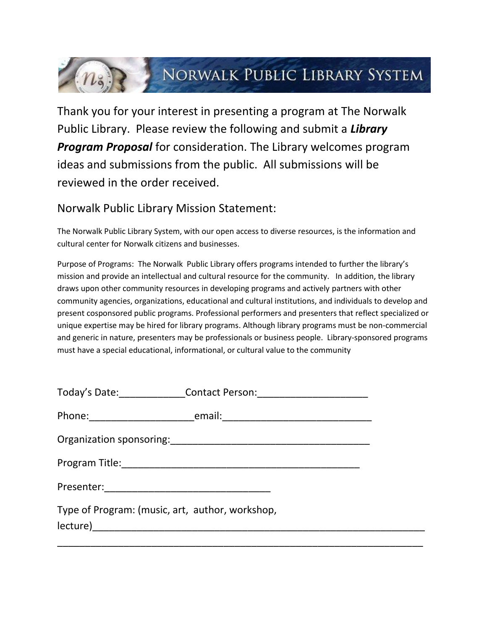## (n) NORWALK PUBLIC LIBRARY SYSTEM

Thank you for your interest in presenting a program at The Norwalk Public Library. Please review the following and submit a *Library Program Proposal* for consideration. The Library welcomes program ideas and submissions from the public. All submissions will be reviewed in the order received.

## Norwalk Public Library Mission Statement:

The Norwalk Public Library System, with our open access to diverse resources, is the information and cultural center for Norwalk citizens and businesses.

Purpose of Programs: The Norwalk Public Library offers programs intended to further the library's mission and provide an intellectual and cultural resource for the community. In addition, the library draws upon other community resources in developing programs and actively partners with other community agencies, organizations, educational and cultural institutions, and individuals to develop and present cosponsored public programs. Professional performers and presenters that reflect specialized or unique expertise may be hired for library programs. Although library programs must be non-commercial and generic in nature, presenters may be professionals or business people. Library-sponsored programs must have a special educational, informational, or cultural value to the community

|                                                 | Today's Date: _________________Contact Person: _________________________________ |  |
|-------------------------------------------------|----------------------------------------------------------------------------------|--|
|                                                 |                                                                                  |  |
|                                                 |                                                                                  |  |
|                                                 |                                                                                  |  |
|                                                 |                                                                                  |  |
| Type of Program: (music, art, author, workshop, |                                                                                  |  |
|                                                 |                                                                                  |  |
|                                                 |                                                                                  |  |